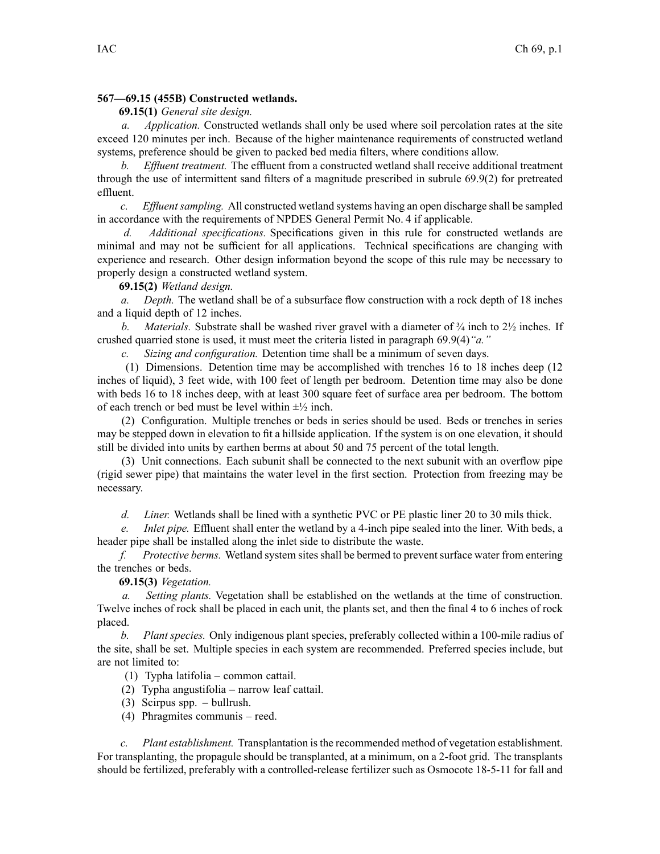## **567—69.15 (455B) Constructed wetlands.**

## **69.15(1)** *General site design.*

*a. Application.* Constructed wetlands shall only be used where soil percolation rates at the site exceed 120 minutes per inch. Because of the higher maintenance requirements of constructed wetland systems, preference should be given to packed bed media filters, where conditions allow.

*b. Effluent treatment.* The effluent from <sup>a</sup> constructed wetland shall receive additional treatment through the use of intermittent sand filters of <sup>a</sup> magnitude prescribed in subrule 69.9(2) for pretreated effluent.

*c. Effluent sampling.* All constructed wetland systems having an open discharge shall be sampled in accordance with the requirements of NPDES General Permit No. 4 if applicable.

*d. Additional specifications.* Specifications given in this rule for constructed wetlands are minimal and may not be sufficient for all applications. Technical specifications are changing with experience and research. Other design information beyond the scope of this rule may be necessary to properly design <sup>a</sup> constructed wetland system.

## **69.15(2)** *Wetland design.*

*a. Depth.* The wetland shall be of <sup>a</sup> subsurface flow construction with <sup>a</sup> rock depth of 18 inches and <sup>a</sup> liquid depth of 12 inches.

*b. Materials.* Substrate shall be washed river gravel with a diameter of  $\frac{3}{4}$  inch to  $\frac{2}{2}$  inches. If crushed quarried stone is used, it must meet the criteria listed in paragraph 69.9(4)*"a."*

*c. Sizing and configuration.* Detention time shall be <sup>a</sup> minimum of seven days.

(1) Dimensions. Detention time may be accomplished with trenches 16 to 18 inches deep (12 inches of liquid), 3 feet wide, with 100 feet of length per bedroom. Detention time may also be done with beds 16 to 18 inches deep, with at least 300 square feet of surface area per bedroom. The bottom of each trench or bed must be level within  $\pm\frac{1}{2}$  inch.

(2) Configuration. Multiple trenches or beds in series should be used. Beds or trenches in series may be stepped down in elevation to fit <sup>a</sup> hillside application. If the system is on one elevation, it should still be divided into units by earthen berms at about 50 and 75 percen<sup>t</sup> of the total length.

(3) Unit connections. Each subunit shall be connected to the next subunit with an overflow pipe (rigid sewer pipe) that maintains the water level in the first section. Protection from freezing may be necessary.

*d. Liner.* Wetlands shall be lined with <sup>a</sup> synthetic PVC or PE plastic liner 20 to 30 mils thick.

*e. Inlet pipe.* Effluent shall enter the wetland by <sup>a</sup> 4-inch pipe sealed into the liner. With beds, <sup>a</sup> header pipe shall be installed along the inlet side to distribute the waste.

*f. Protective berms.* Wetland system sites shall be bermed to preven<sup>t</sup> surface water from entering the trenches or beds.

**69.15(3)** *Vegetation.*

*a. Setting plants.* Vegetation shall be established on the wetlands at the time of construction. Twelve inches of rock shall be placed in each unit, the plants set, and then the final 4 to 6 inches of rock placed.

*b. Plant species.* Only indigenous plant species, preferably collected within <sup>a</sup> 100-mile radius of the site, shall be set. Multiple species in each system are recommended. Preferred species include, but are not limited to:

(1) Typha latifolia – common cattail.

(2) Typha angustifolia – narrow leaf cattail.

- (3) Scirpus spp. bullrush.
- (4) Phragmites communis reed.

*c. Plant establishment.* Transplantation isthe recommended method of vegetation establishment. For transplanting, the propagule should be transplanted, at <sup>a</sup> minimum, on <sup>a</sup> 2-foot grid. The transplants should be fertilized, preferably with <sup>a</sup> controlled-release fertilizer such as Osmocote 18-5-11 for fall and